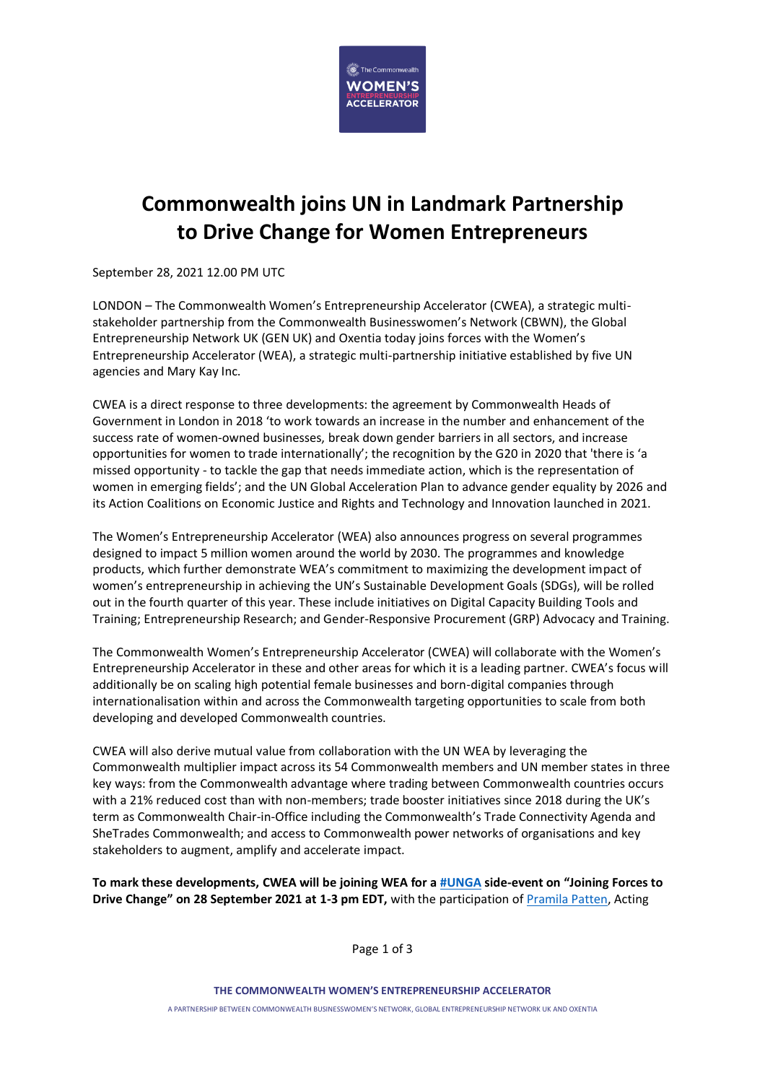

## **Commonwealth joins UN in Landmark Partnership to Drive Change for Women Entrepreneurs**

September 28, 2021 12.00 PM UTC

LONDON – The Commonwealth Women's Entrepreneurship Accelerator (CWEA), a strategic multistakeholder partnership from the Commonwealth Businesswomen's Network (CBWN), the Global Entrepreneurship Network UK (GEN UK) and Oxentia today joins forces with the Women's Entrepreneurship Accelerator (WEA), a strategic multi-partnership initiative established by five UN agencies and Mary Kay Inc.

CWEA is a direct response to three developments: the agreement by Commonwealth Heads of Government in London in 2018 'to work towards an increase in the number and enhancement of the success rate of women-owned businesses, break down gender barriers in all sectors, and increase opportunities for women to trade internationally'; the recognition by the G20 in 2020 that 'there is 'a missed opportunity - to tackle the gap that needs immediate action, which is the representation of women in emerging fields'; and the UN Global Acceleration Plan to advance gender equality by 2026 and its Action Coalitions on Economic Justice and Rights and Technology and Innovation launched in 2021.

The Women's Entrepreneurship Accelerator (WEA) also announces progress on several programmes designed to impact 5 million women around the world by 2030. The programmes and knowledge products, which further demonstrate WEA's commitment to maximizing the development impact of women's entrepreneurship in achieving the UN's Sustainable Development Goals (SDGs), will be rolled out in the fourth quarter of this year. These include initiatives on Digital Capacity Building Tools and Training; Entrepreneurship Research; and Gender-Responsive Procurement (GRP) Advocacy and Training.

The Commonwealth Women's Entrepreneurship Accelerator (CWEA) will collaborate with the Women's Entrepreneurship Accelerator in these and other areas for which it is a leading partner. CWEA's focus will additionally be on scaling high potential female businesses and born-digital companies through internationalisation within and across the Commonwealth targeting opportunities to scale from both developing and developed Commonwealth countries.

CWEA will also derive mutual value from collaboration with the UN WEA by leveraging the Commonwealth multiplier impact across its 54 Commonwealth members and UN member states in three key ways: from the Commonwealth advantage where trading between Commonwealth countries occurs with a 21% reduced cost than with non-members; trade booster initiatives since 2018 during the UK's term as Commonwealth Chair-in-Office including the Commonwealth's Trade Connectivity Agenda and SheTrades Commonwealth; and access to Commonwealth power networks of organisations and key stakeholders to augment, amplify and accelerate impact.

**To mark these developments, CWEA will be joining WEA for a [#UNGA](https://www.linkedin.com/feed/hashtag/?keywords=unga&highlightedUpdateUrns=urn%3Ali%3Aactivity%3A6845572169817194497) side-event on "Joining Forces to Drive Change" on 28 September 2021 at 1-3 pm EDT,** with the participation of [Pramila Patten,](https://www.linkedin.com/in/ACoAAAKvZFABBkH-fniB4X698u95oeC7kTBJvXo) Acting

Page 1 of 3

**THE COMMONWEALTH WOMEN'S ENTREPRENEURSHIP ACCELERATOR** 

A PARTNERSHIP BETWEEN COMMONWEALTH BUSINESSWOMEN'S NETWORK, GLOBAL ENTREPRENEURSHIP NETWORK UK AND OXENTIA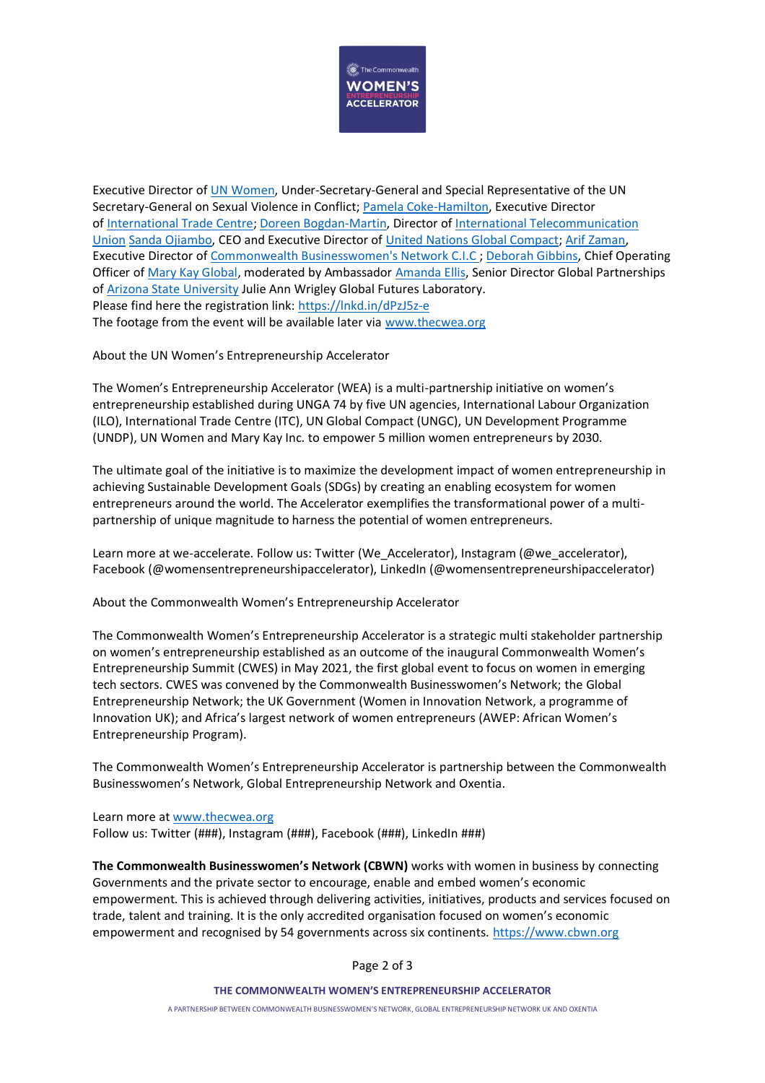

Executive Director of [UN Women,](https://www.linkedin.com/company/un-women/) Under-Secretary-General and Special Representative of the UN Secretary-General on Sexual Violence in Conflict; [Pamela Coke-Hamilton,](https://www.linkedin.com/in/ACoAAAzeMMwBkQamx4lCxsuPqbhnWe7fwJqgtsw) Executive Director of [International Trade Centre;](https://www.linkedin.com/company/international-trade-centre/) [Doreen Bogdan-Martin,](https://www.linkedin.com/in/ACoAAAxe4vgBOrD4zGQo7IXQ6DmMm9dgCWqc-cE) Director of [International Telecommunication](https://www.linkedin.com/company/international-telecommunication-union/)  [Union](https://www.linkedin.com/company/international-telecommunication-union/) [Sanda Ojiambo,](https://www.linkedin.com/in/ACoAAAGPc2wBcGPDS2-8M3h25Q5Q7nVL_Sbzqrs) CEO and Executive Director of [United Nations Global Compact;](https://www.linkedin.com/company/united-nations-global-compact/) [Arif Zaman,](https://www.linkedin.com/in/ACoAAABzBOsBz2QkKz-ajlV3S3CURawVirnT2nQ) Executive Director of [Commonwealth Businesswomen's Network C.I.C](https://www.linkedin.com/company/commonwealthbusinesswomensnetwork/) ; [Deborah Gibbins,](https://www.linkedin.com/in/ACoAAARvh7oBEpZnfGBdB8lGM5xABs1AVme29_M) Chief Operating Officer of [Mary Kay Global,](https://www.linkedin.com/company/marykayglobal/) moderated by Ambassador [Amanda Ellis,](https://www.linkedin.com/in/ACoAAAA22CEBIXPX3aB13ccn5HKAvXMotX0D0qs) Senior Director Global Partnerships of [Arizona State University](https://www.linkedin.com/company/arizona-state-university/) Julie Ann Wrigley Global Futures Laboratory. Please find here the registration link: <https://lnkd.in/dPzJ5z-e> The footage from the event will be available later via [www.thecwea.org](http://www.thecwea.org/)

About the UN Women's Entrepreneurship Accelerator

The Women's Entrepreneurship Accelerator (WEA) is a multi-partnership initiative on women's entrepreneurship established during UNGA 74 by five UN agencies, International Labour Organization (ILO), International Trade Centre (ITC), UN Global Compact (UNGC), UN Development Programme (UNDP), UN Women and Mary Kay Inc. to empower 5 million women entrepreneurs by 2030.

The ultimate goal of the initiative is to maximize the development impact of women entrepreneurship in achieving Sustainable Development Goals (SDGs) by creating an enabling ecosystem for women entrepreneurs around the world. The Accelerator exemplifies the transformational power of a multipartnership of unique magnitude to harness the potential of women entrepreneurs.

Learn more at we-accelerate. Follow us: Twitter (We\_Accelerator), Instagram (@we\_accelerator), Facebook (@womensentrepreneurshipaccelerator), LinkedIn (@womensentrepreneurshipaccelerator)

About the Commonwealth Women's Entrepreneurship Accelerator

The Commonwealth Women's Entrepreneurship Accelerator is a strategic multi stakeholder partnership on women's entrepreneurship established as an outcome of the inaugural Commonwealth Women's Entrepreneurship Summit (CWES) in May 2021, the first global event to focus on women in emerging tech sectors. CWES was convened by the Commonwealth Businesswomen's Network; the Global Entrepreneurship Network; the UK Government (Women in Innovation Network, a programme of Innovation UK); and Africa's largest network of women entrepreneurs (AWEP: African Women's Entrepreneurship Program).

The Commonwealth Women's Entrepreneurship Accelerator is partnership between the Commonwealth Businesswomen's Network, Global Entrepreneurship Network and Oxentia.

Learn more a[t www.thecwea.org](http://www.thecwea.org/) Follow us: Twitter (###), Instagram (###), Facebook (###), LinkedIn ###)

**The Commonwealth Businesswomen's Network (CBWN)** works with women in business by connecting Governments and the private sector to encourage, enable and embed women's economic empowerment. This is achieved through delivering activities, initiatives, products and services focused on trade, talent and training. It is the only accredited organisation focused on women's economic empowerment and recognised by 54 governments across six continents. [https://www.cbwn.org](https://www.cbwn.org/)

Page 2 of 3

**THE COMMONWEALTH WOMEN'S ENTREPRENEURSHIP ACCELERATOR** 

A PARTNERSHIP BETWEEN COMMONWEALTH BUSINESSWOMEN'S NETWORK, GLOBAL ENTREPRENEURSHIP NETWORK UK AND OXENTIA